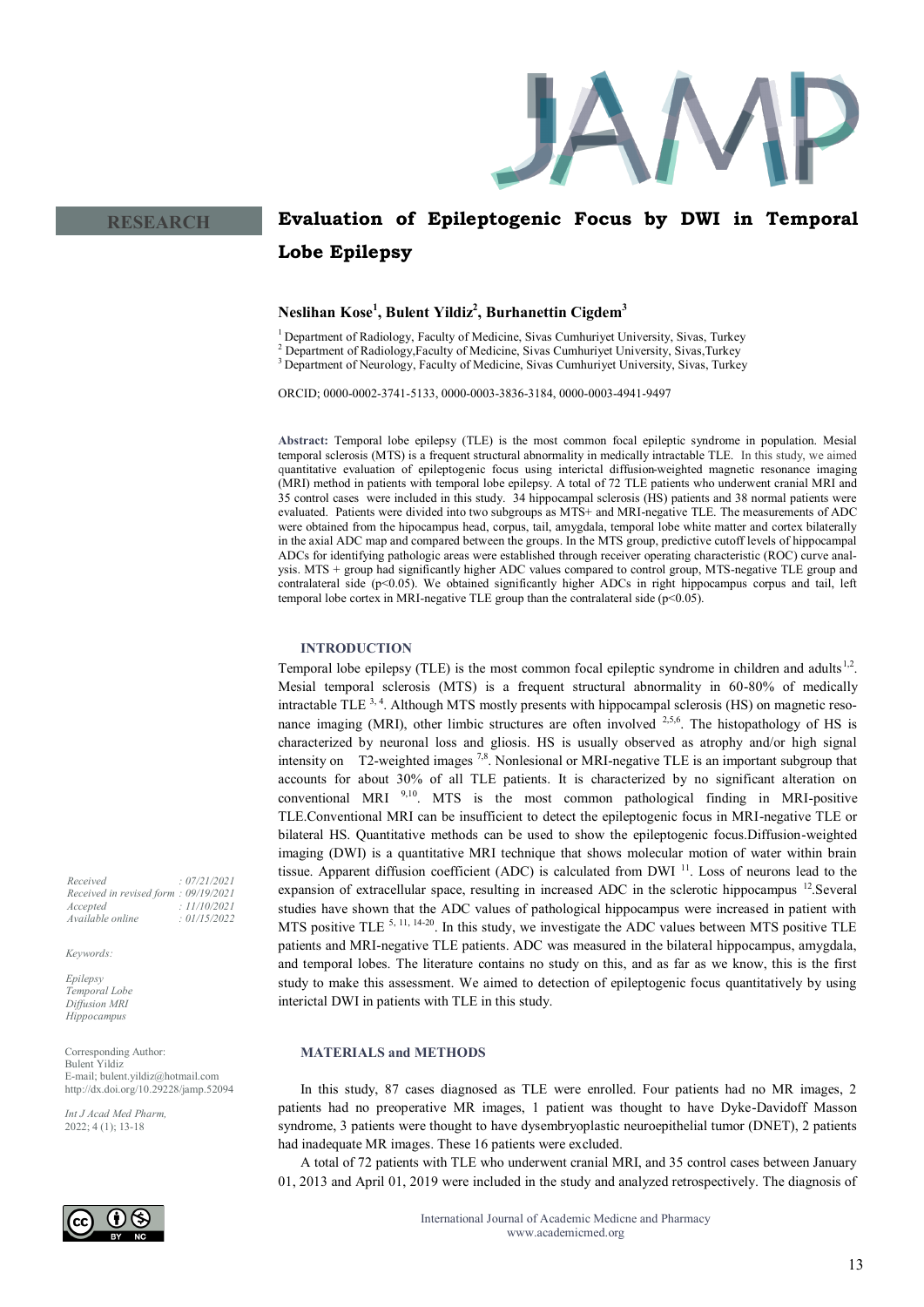

# **Evaluation of Epileptogenic Focus by DWI in Temporal Lobe Epilepsy**

# **Neslihan Kose<sup>1</sup> , Bulent Yildiz<sup>2</sup> , Burhanettin Cigdem<sup>3</sup>**

<sup>1</sup> Department of Radiology, Faculty of Medicine, Sivas Cumhuriyet University, Sivas, Turkey

<sup>2</sup> Department of Radiology,Faculty of Medicine, Sivas Cumhuriyet University, Sivas,Turkey

<sup>3</sup> Department of Neurology, Faculty of Medicine, Sivas Cumhuriyet University, Sivas, Turkey

ORCID; 0000-0002-3741-5133, 0000-0003-3836-3184, 0000-0003-4941-9497

**Abstract:** Temporal lobe epilepsy (TLE) is the most common focal epileptic syndrome in population. Mesial temporal sclerosis (MTS) is a frequent structural abnormality in medically intractable TLE. In this study, we aimed quantitative evaluation of epileptogenic focus using interictal diffusion-weighted magnetic resonance imaging (MRI) method in patients with temporal lobe epilepsy. A total of 72 TLE patients who underwent cranial MRI and 35 control cases were included in this study. 34 hippocampal sclerosis (HS) patients and 38 normal patients were evaluated. Patients were divided into two subgroups as MTS+ and MRI-negative TLE. The measurements of ADC were obtained from the hipocampus head, corpus, tail, amygdala, temporal lobe white matter and cortex bilaterally in the axial ADC map and compared between the groups. In the MTS group, predictive cutoff levels of hippocampal ADCs for identifying pathologic areas were established through receiver operating characteristic (ROC) curve analysis. MTS + group had significantly higher ADC values compared to control group, MTS-negative TLE group and contralateral side (p<0.05). We obtained significantly higher ADCs in right hippocampus corpus and tail, left temporal lobe cortex in MRI-negative TLE group than the contralateral side  $(p<0.05)$ .

# **INTRODUCTION**

Temporal lobe epilepsy (TLE) is the most common focal epileptic syndrome in children and adults<sup>1,2</sup>. Mesial temporal sclerosis (MTS) is a frequent structural abnormality in 60-80% of medically intractable TLE <sup>3, 4</sup>. Although MTS mostly presents with hippocampal sclerosis (HS) on magnetic resonance imaging (MRI), other limbic structures are often involved  $2,5,6$ . The histopathology of HS is characterized by neuronal loss and gliosis. HS is usually observed as atrophy and/or high signal intensity on T2-weighted images  $7.8$ . Nonlesional or MRI-negative TLE is an important subgroup that accounts for about 30% of all TLE patients. It is characterized by no significant alteration on conventional MRI  $9,10$ . MTS is the most common pathological finding in MRI-positive TLE.Conventional MRI can be insufficient to detect the epileptogenic focus in MRI-negative TLE or bilateral HS. Quantitative methods can be used to show the epileptogenic focus.Diffusion-weighted imaging (DWI) is a quantitative MRI technique that shows molecular motion of water within brain tissue. Apparent diffusion coefficient (ADC) is calculated from DWI <sup>11</sup>. Loss of neurons lead to the expansion of extracellular space, resulting in increased ADC in the sclerotic hippocampus <sup>12</sup>.Several studies have shown that the ADC values of pathological hippocampus were increased in patient with MTS positive TLE 5, 11, 14-<sup>20</sup>. In this study, we investigate the ADC values between MTS positive TLE patients and MRI-negative TLE patients. ADC was measured in the bilateral hippocampus, amygdala, and temporal lobes. The literature contains no study on this, and as far as we know, this is the first study to make this assessment. We aimed to detection of epileptogenic focus quantitatively by using interictal DWI in patients with TLE in this study.

#### **MATERIALS and METHODS**

In this study, 87 cases diagnosed as TLE were enrolled. Four patients had no MR images, 2 patients had no preoperative MR images, 1 patient was thought to have Dyke-Davidoff Masson syndrome, 3 patients were thought to have dysembryoplastic neuroepithelial tumor (DNET), 2 patients had inadequate MR images. These 16 patients were excluded.

A total of 72 patients with TLE who underwent cranial MRI, and 35 control cases between January 01, 2013 and April 01, 2019 were included in the study and analyzed retrospectively. The diagnosis of

*Received : 07/21/2021 Received in revised form : 09/19/2021 Accepted : 11/10/2021 Available online : 01/15/2022*

*Keywords:*

*Epilepsy Temporal Lobe Diffusion MRI Hippocampus* 

Corresponding Author: Bulent Yildiz E-mail; bulent.yildiz@hotmail.com http://dx.doi.org/10.29228/jamp.52094

*Int J Acad Med Pharm,* 2022; 4 (1); 13-18

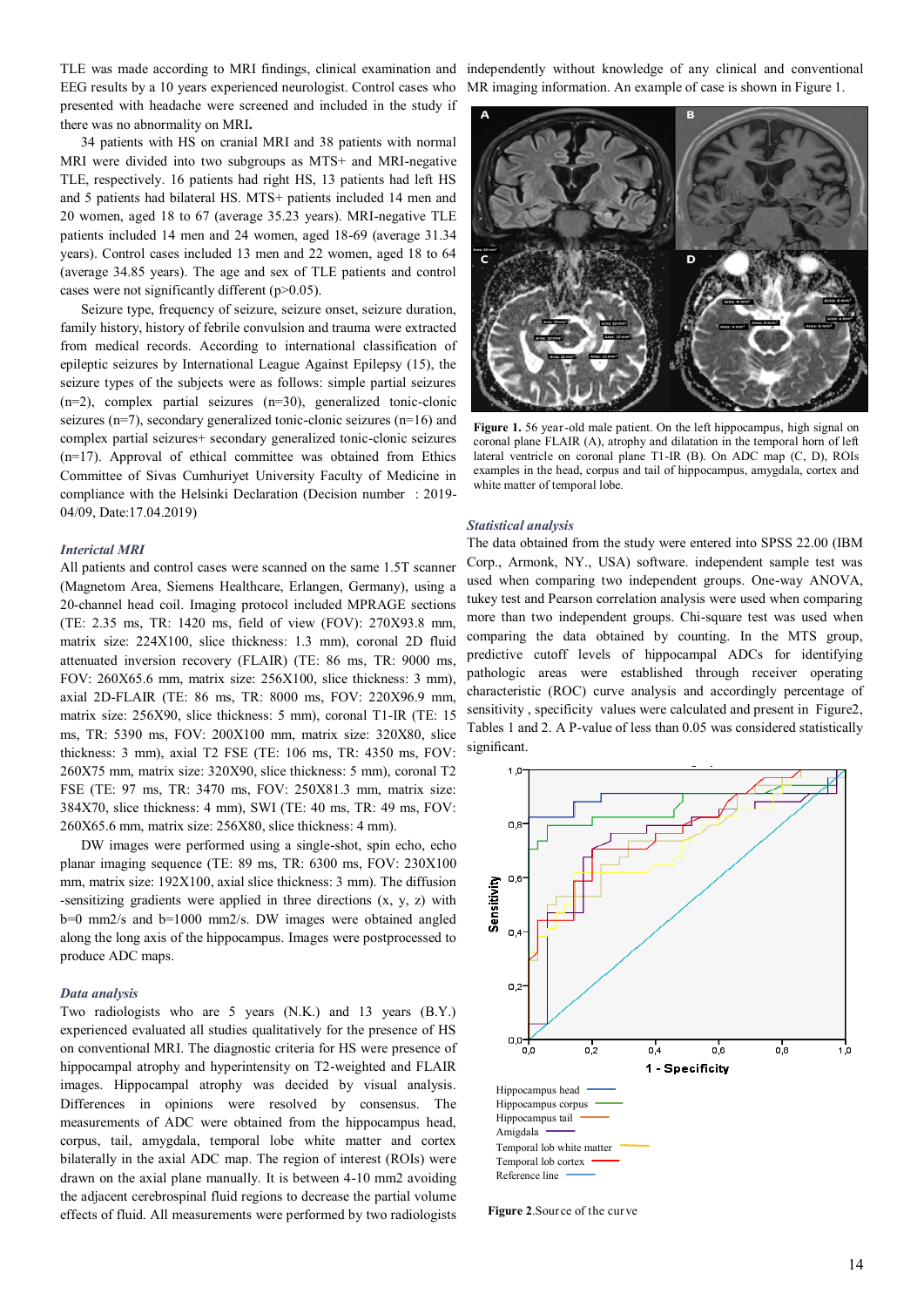EEG results by a 10 years experienced neurologist. Control cases who presented with headache were screened and included in the study if there was no abnormality on MRI**.**

34 patients with HS on cranial MRI and 38 patients with normal MRI were divided into two subgroups as MTS+ and MRI-negative TLE, respectively. 16 patients had right HS, 13 patients had left HS and 5 patients had bilateral HS. MTS+ patients included 14 men and 20 women, aged 18 to 67 (average 35.23 years). MRI-negative TLE patients included 14 men and 24 women, aged 18-69 (average 31.34 years). Control cases included 13 men and 22 women, aged 18 to 64 (average 34.85 years). The age and sex of TLE patients and control cases were not significantly different (p>0.05).

Seizure type, frequency of seizure, seizure onset, seizure duration, family history, history of febrile convulsion and trauma were extracted from medical records. According to international classification of epileptic seizures by International League Against Epilepsy (15), the seizure types of the subjects were as follows: simple partial seizures (n=2), complex partial seizures (n=30), generalized tonic-clonic seizures (n=7), secondary generalized tonic-clonic seizures (n=16) and complex partial seizures+ secondary generalized tonic-clonic seizures  $(n=17)$ . Approval of ethical committee was obtained from Ethics Committee of Sivas Cumhuriyet University Faculty of Medicine in compliance with the Helsinki Declaration (Decision number : 2019- 04/09, Date:17.04.2019)

# *Interictal MRI*

All patients and control cases were scanned on the same 1.5T scanner (Magnetom Area, Siemens Healthcare, Erlangen, Germany), using a 20-channel head coil. Imaging protocol included MPRAGE sections (TE: 2.35 ms, TR: 1420 ms, field of view (FOV): 270X93.8 mm, matrix size: 224X100, slice thickness: 1.3 mm), coronal 2D fluid attenuated inversion recovery (FLAIR) (TE: 86 ms, TR: 9000 ms, FOV: 260X65.6 mm, matrix size: 256X100, slice thickness: 3 mm), axial 2D-FLAIR (TE: 86 ms, TR: 8000 ms, FOV: 220X96.9 mm, matrix size: 256X90, slice thickness: 5 mm), coronal T1-IR (TE: 15 ms, TR: 5390 ms, FOV: 200X100 mm, matrix size: 320X80, slice thickness: 3 mm), axial T2 FSE (TE: 106 ms, TR: 4350 ms, FOV: 260X75 mm, matrix size: 320X90, slice thickness: 5 mm), coronal T2 FSE (TE: 97 ms, TR: 3470 ms, FOV: 250X81.3 mm, matrix size: 384X70, slice thickness: 4 mm), SWI (TE: 40 ms, TR: 49 ms, FOV: 260X65.6 mm, matrix size: 256X80, slice thickness: 4 mm).

DW images were performed using a single-shot, spin echo, echo planar imaging sequence (TE: 89 ms, TR: 6300 ms, FOV: 230X100 mm, matrix size: 192X100, axial slice thickness: 3 mm). The diffusion -sensitizing gradients were applied in three directions (x, y, z) with b=0 mm2/s and b=1000 mm2/s. DW images were obtained angled along the long axis of the hippocampus. Images were postprocessed to produce ADC maps.

# *Data analysis*

Two radiologists who are 5 years (N.K.) and 13 years (B.Y.) experienced evaluated all studies qualitatively for the presence of HS on conventional MRI. The diagnostic criteria for HS were presence of hippocampal atrophy and hyperintensity on T2-weighted and FLAIR images. Hippocampal atrophy was decided by visual analysis. Differences in opinions were resolved by consensus. The measurements of ADC were obtained from the hippocampus head, corpus, tail, amygdala, temporal lobe white matter and cortex bilaterally in the axial ADC map. The region of interest (ROIs) were drawn on the axial plane manually. It is between 4-10 mm2 avoiding the adjacent cerebrospinal fluid regions to decrease the partial volume effects of fluid. All measurements were performed by two radiologists

TLE was made according to MRI findings, clinical examination and independently without knowledge of any clinical and conventional MR imaging information. An example of case is shown in Figure 1.



**Figure 1.** 56 year-old male patient. On the left hippocampus, high signal on coronal plane FLAIR (A), atrophy and dilatation in the temporal horn of left lateral ventricle on coronal plane T1-IR (B). On ADC map (C, D), ROIs examples in the head, corpus and tail of hippocampus, amygdala, cortex and white matter of temporal lobe.

#### *Statistical analysis*

The data obtained from the study were entered into SPSS 22.00 (IBM Corp., Armonk, NY., USA) software. independent sample test was used when comparing two independent groups. One-way ANOVA, tukey test and Pearson correlation analysis were used when comparing more than two independent groups. Chi-square test was used when comparing the data obtained by counting. In the MTS group, predictive cutoff levels of hippocampal ADCs for identifying pathologic areas were established through receiver operating characteristic (ROC) curve analysis and accordingly percentage of sensitivity , specificity values were calculated and present in Figure2, Tables 1 and 2. A P-value of less than 0.05 was considered statistically significant.



**Figure 2**.Source of the curve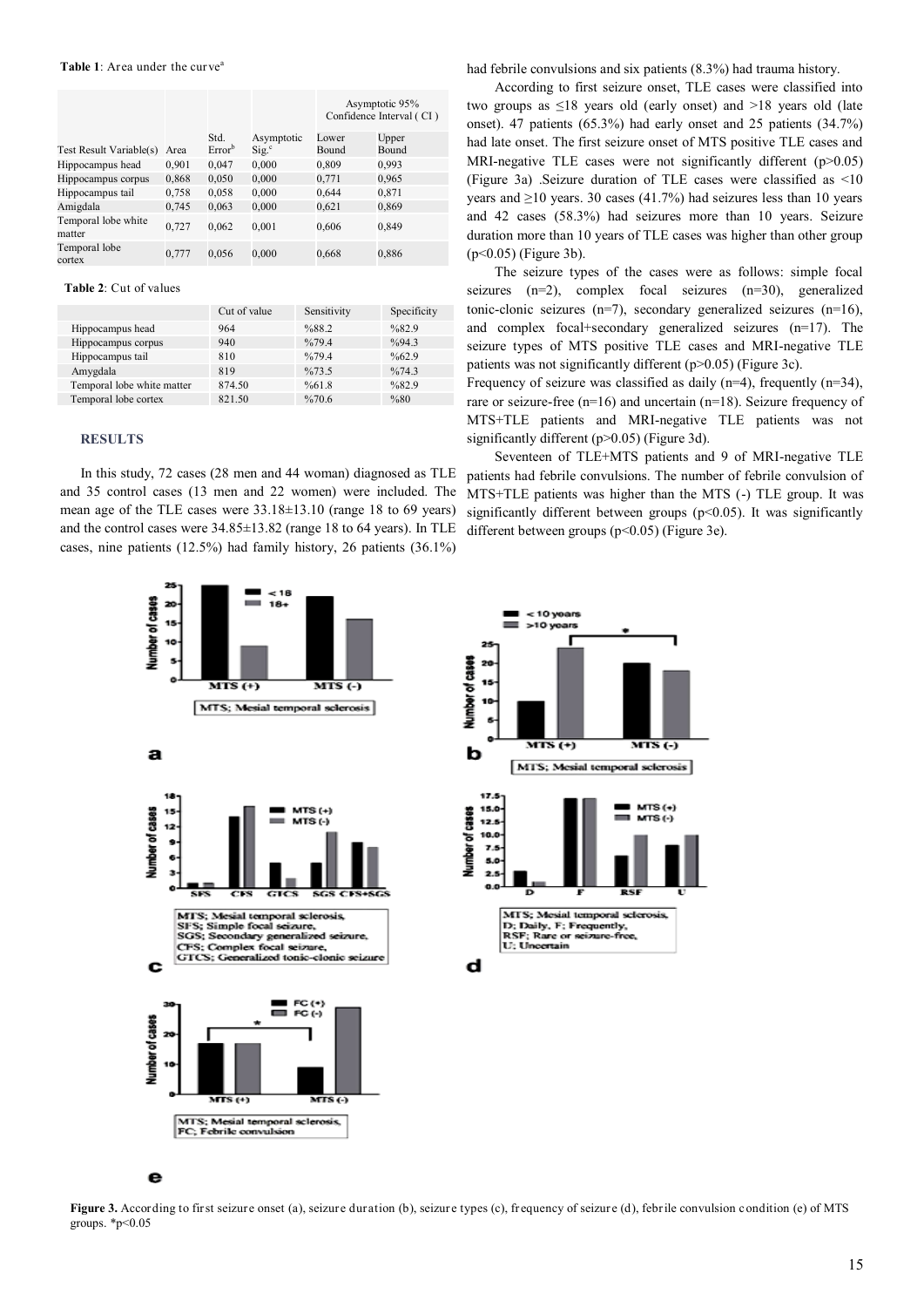|                               |       |                    |                              | Asymptotic 95%<br>Confidence Interval (CI) |       |
|-------------------------------|-------|--------------------|------------------------------|--------------------------------------------|-------|
|                               |       | Std.               | Asymptotic                   | Lower                                      | Upper |
| Test Result Variable(s)       | Area  | Error <sup>b</sup> | $\mathrm{Sig.}^{\mathrm{c}}$ | Bound                                      | Bound |
| Hippocampus head              | 0,901 | 0,047              | 0,000                        | 0,809                                      | 0,993 |
| Hippocampus corpus            | 0,868 | 0,050              | 0,000                        | 0,771                                      | 0,965 |
| Hippocampus tail              | 0,758 | 0,058              | 0,000                        | 0,644                                      | 0,871 |
| Amigdala                      | 0,745 | 0,063              | 0,000                        | 0,621                                      | 0,869 |
| Temporal lobe white<br>matter | 0.727 | 0,062              | 0,001                        | 0,606                                      | 0,849 |
| Temporal lobe<br>cortex       | 0,777 | 0,056              | 0,000                        | 0,668                                      | 0,886 |

**Table 2**: Cut of values

|                            | Cut of value | Sensitivity | Specificity       |
|----------------------------|--------------|-------------|-------------------|
| Hippocampus head           | 964          | %88.2       | %82.9             |
| Hippocampus corpus         | 940          | %79.4       | $\frac{9}{94}$ 3  |
| Hippocampus tail           | 810          | %79.4       | $\frac{9}{662}$ 9 |
| Amygdala                   | 819          | %73.5       | $\frac{9}{674}$ 3 |
| Temporal lobe white matter | 874.50       | %61.8       | %82.9             |
| Temporal lobe cortex       | 821.50       | %70.6       | %80               |

#### **RESULTS**

In this study, 72 cases (28 men and 44 woman) diagnosed as TLE and 35 control cases (13 men and 22 women) were included. The mean age of the TLE cases were  $33.18\pm13.10$  (range 18 to 69 years) and the control cases were 34.85±13.82 (range 18 to 64 years). In TLE cases, nine patients (12.5%) had family history, 26 patients (36.1%)

had febrile convulsions and six patients (8.3%) had trauma history.

According to first seizure onset, TLE cases were classified into two groups as ≤18 years old (early onset) and >18 years old (late onset). 47 patients (65.3%) had early onset and 25 patients (34.7%) had late onset. The first seizure onset of MTS positive TLE cases and MRI-negative TLE cases were not significantly different (p>0.05) (Figure 3a) .Seizure duration of TLE cases were classified as <10 years and  $\geq$ 10 years. 30 cases (41.7%) had seizures less than 10 years and 42 cases (58.3%) had seizures more than 10 years. Seizure duration more than 10 years of TLE cases was higher than other group (p<0.05) (Figure 3b).

The seizure types of the cases were as follows: simple focal seizures (n=2), complex focal seizures (n=30), generalized tonic-clonic seizures (n=7), secondary generalized seizures (n=16), and complex focal+secondary generalized seizures (n=17). The seizure types of MTS positive TLE cases and MRI-negative TLE patients was not significantly different (p>0.05) (Figure 3c).

Frequency of seizure was classified as daily  $(n=4)$ , frequently  $(n=34)$ , rare or seizure-free (n=16) and uncertain (n=18). Seizure frequency of MTS+TLE patients and MRI-negative TLE patients was not significantly different (p>0.05) (Figure 3d).

Seventeen of TLE+MTS patients and 9 of MRI-negative TLE patients had febrile convulsions. The number of febrile convulsion of MTS+TLE patients was higher than the MTS (-) TLE group. It was significantly different between groups  $(p<0.05)$ . It was significantly different between groups (p<0.05) (Figure 3e).





Figure 3. According to first seizure onset (a), seizure duration (b), seizure types (c), frequency of seizure (d), febrile convulsion condition (e) of MTS groups.  $*p<0.05$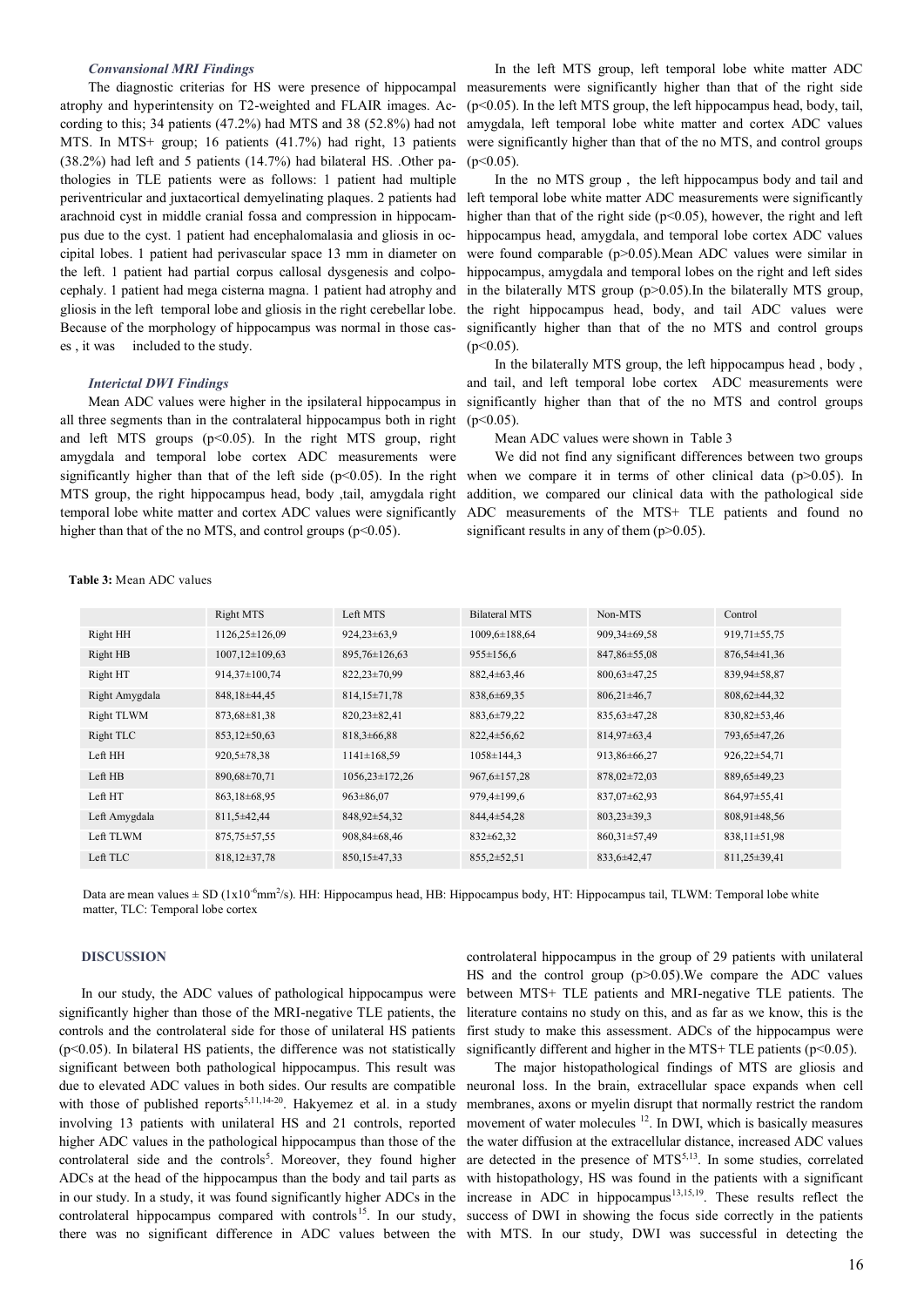#### *Convansional MRI Findings*

The diagnostic criterias for HS were presence of hippocampal atrophy and hyperintensity on T2-weighted and FLAIR images. According to this; 34 patients (47.2%) had MTS and 38 (52.8%) had not MTS. In MTS+ group; 16 patients (41.7%) had right, 13 patients (38.2%) had left and 5 patients (14.7%) had bilateral HS. .Other pathologies in TLE patients were as follows: 1 patient had multiple periventricular and juxtacortical demyelinating plaques. 2 patients had arachnoid cyst in middle cranial fossa and compression in hippocampus due to the cyst. 1 patient had encephalomalasia and gliosis in occipital lobes. 1 patient had perivascular space 13 mm in diameter on the left. 1 patient had partial corpus callosal dysgenesis and colpocephaly. 1 patient had mega cisterna magna. 1 patient had atrophy and gliosis in the left temporal lobe and gliosis in the right cerebellar lobe. Because of the morphology of hippocampus was normal in those cases , it was included to the study.

# *Interictal DWI Findings*

Mean ADC values were higher in the ipsilateral hippocampus in all three segments than in the contralateral hippocampus both in right and left MTS groups (p<0.05). In the right MTS group, right amygdala and temporal lobe cortex ADC measurements were significantly higher than that of the left side ( $p<0.05$ ). In the right MTS group, the right hippocampus head, body ,tail, amygdala right temporal lobe white matter and cortex ADC values were significantly higher than that of the no MTS, and control groups ( $p<0.05$ ).

In the left MTS group, left temporal lobe white matter ADC measurements were significantly higher than that of the right side (p<0.05). In the left MTS group, the left hippocampus head, body, tail, amygdala, left temporal lobe white matter and cortex ADC values were significantly higher than that of the no MTS, and control groups  $(p<0.05)$ .

In the no MTS group , the left hippocampus body and tail and left temporal lobe white matter ADC measurements were significantly higher than that of the right side ( $p \le 0.05$ ), however, the right and left hippocampus head, amygdala, and temporal lobe cortex ADC values were found comparable (p>0.05).Mean ADC values were similar in hippocampus, amygdala and temporal lobes on the right and left sides in the bilaterally MTS group (p>0.05).In the bilaterally MTS group, the right hippocampus head, body, and tail ADC values were significantly higher than that of the no MTS and control groups  $(p<0.05)$ .

In the bilaterally MTS group, the left hippocampus head , body , and tail, and left temporal lobe cortex ADC measurements were significantly higher than that of the no MTS and control groups  $(p<0.05)$ .

Mean ADC values were shown in Table 3

We did not find any significant differences between two groups when we compare it in terms of other clinical data  $(p>0.05)$ . In addition, we compared our clinical data with the pathological side ADC measurements of the MTS+ TLE patients and found no significant results in any of them  $(p>0.05)$ .

|                | Right MTS            | Left MTS            | <b>Bilateral MTS</b> | Non-MTS            | Control            |
|----------------|----------------------|---------------------|----------------------|--------------------|--------------------|
| Right HH       | 1126,25±126,09       | $924,23\pm 63,9$    | $1009,6 \pm 188,64$  | 909,34±69,58       | $919,71\pm55,75$   |
| Right HB       | $1007, 12\pm109, 63$ | 895,76±126,63       | $955 \pm 156.6$      | $847,86 \pm 55,08$ | $876,54\pm41,36$   |
| Right HT       | 914,37±100,74        | $822.23 \pm 70.99$  | $882,4\pm 63,46$     | $800,63\pm47,25$   | 839,94±58,87       |
| Right Amygdala | 848, 18 ± 44, 45     | $814,15\pm71,78$    | 838,6±69,35          | $806,21\pm46,7$    | $808,62\pm44,32$   |
| Right TLWM     | $873,68 \pm 81,38$   | $820,23\pm 82,41$   | 883,6±79,22          | $835.63 \pm 47.28$ | $830,82 \pm 53,46$ |
| Right TLC      | $853,12\pm50,63$     | $818,3\pm 66,88$    | $822,4 \pm 56,62$    | $814,97\pm 63,4$   | 793,65±47,26       |
| Left HH        | $920.5 \pm 78.38$    | $1141 \pm 168.59$   | $1058 \pm 144.3$     | 913,86±66,27       | $926,22\pm 54,71$  |
| Left HB        | 890,68±70,71         | $1056,23\pm 172,26$ | $967,6 \pm 157,28$   | $878,02\pm72,03$   | 889,65±49,23       |
| Left HT        | 863,18±68,95         | $963 \pm 86.07$     | 979,4±199,6          | $837.07 \pm 62.93$ | 864,97±55,41       |
| Left Amygdala  | 811,5±42,44          | 848,92±54,32        | 844,4±54,28          | $803,23\pm39,3$    | $808,91\pm48,56$   |
| Left TLWM      | $875,75 \pm 57,55$   | $908,84\pm 68,46$   | $832 \pm 62.32$      | $860,31\pm57,49$   | $838,11\pm51,98$   |
| Left TLC       | $818,12\pm37,78$     | $850,15\pm47,33$    | $855,2 \pm 52,51$    | 833,6±42,47        | $811,25\pm 39,41$  |

**Table 3:** Mean ADC values

Data are mean values ± SD (1x10<sup>-6</sup>mm<sup>2</sup>/s). HH: Hippocampus head, HB: Hippocampus body, HT: Hippocampus tail, TLWM: Temporal lobe white matter, TLC: Temporal lobe cortex

# **DISCUSSION**

In our study, the ADC values of pathological hippocampus were significantly higher than those of the MRI-negative TLE patients, the controls and the controlateral side for those of unilateral HS patients  $(p<0.05)$ . In bilateral HS patients, the difference was not statistically significant between both pathological hippocampus. This result was with those of published reports<sup>5,11,14-20</sup>. Hakyemez et al. in a study involving 13 patients with unilateral HS and 21 controls, reported higher ADC values in the pathological hippocampus than those of the controlateral side and the controls<sup>5</sup>. Moreover, they found higher ADCs at the head of the hippocampus than the body and tail parts as in our study. In a study, it was found significantly higher ADCs in the controlateral hippocampus compared with controls<sup>15</sup>. In our study,

controlateral hippocampus in the group of 29 patients with unilateral HS and the control group (p>0.05). We compare the ADC values between MTS+ TLE patients and MRI-negative TLE patients. The literature contains no study on this, and as far as we know, this is the first study to make this assessment. ADCs of the hippocampus were significantly different and higher in the MTS+ TLE patients ( $p<0.05$ ).

due to elevated ADC values in both sides. Our results are compatible neuronal loss. In the brain, extracellular space expands when cell there was no significant difference in ADC values between the with MTS. In our study, DWI was successful in detecting the The major histopathological findings of MTS are gliosis and membranes, axons or myelin disrupt that normally restrict the random movement of water molecules <sup>12</sup>. In DWI, which is basically measures the water diffusion at the extracellular distance, increased ADC values are detected in the presence of  $MTS^{5,13}$ . In some studies, correlated with histopathology, HS was found in the patients with a significant increase in ADC in hippocampus<sup>13,15,19</sup>. These results reflect the success of DWI in showing the focus side correctly in the patients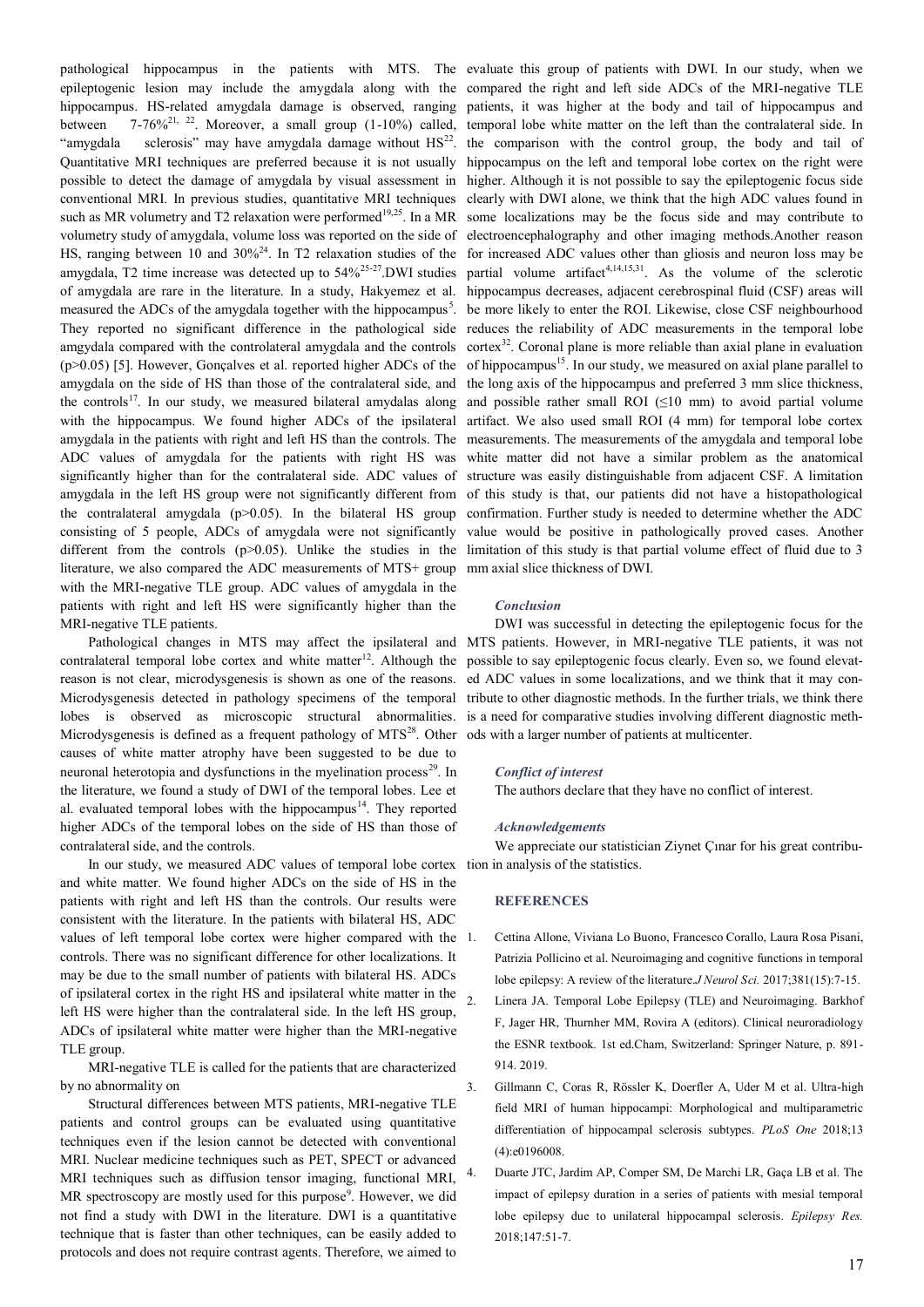pathological hippocampus in the patients with MTS. The evaluate this group of patients with DWI. In our study, when we epileptogenic lesion may include the amygdala along with the hippocampus. HS-related amygdala damage is observed, ranging between  $7-76\%^{21}$ ,  $22$ . Moreover, a small group (1-10%) called, "amygdala sclerosis" may have amygdala damage without  $HS<sup>22</sup>$ . Quantitative MRI techniques are preferred because it is not usually possible to detect the damage of amygdala by visual assessment in conventional MRI. In previous studies, quantitative MRI techniques such as MR volumetry and T2 relaxation were performed<sup>19,25</sup>. In a MR volumetry study of amygdala, volume loss was reported on the side of HS, ranging between 10 and 30%<sup>24</sup>. In T2 relaxation studies of the amygdala, T2 time increase was detected up to 54%<sup>25</sup>-<sup>27</sup>.DWI studies of amygdala are rare in the literature. In a study, Hakyemez et al. measured the ADCs of the amygdala together with the hippocampus<sup>5</sup>. They reported no significant difference in the pathological side amgydala compared with the controlateral amygdala and the controls (p>0.05) [5]. However, Gonçalves et al. reported higher ADCs of the amygdala on the side of HS than those of the contralateral side, and the controls<sup>17</sup>. In our study, we measured bilateral amydalas along with the hippocampus. We found higher ADCs of the ipsilateral amygdala in the patients with right and left HS than the controls. The ADC values of amygdala for the patients with right HS was significantly higher than for the contralateral side. ADC values of amygdala in the left HS group were not significantly different from the contralateral amygdala  $(p>0.05)$ . In the bilateral HS group consisting of 5 people, ADCs of amygdala were not significantly different from the controls (p>0.05). Unlike the studies in the literature, we also compared the ADC measurements of MTS+ group with the MRI-negative TLE group. ADC values of amygdala in the patients with right and left HS were significantly higher than the MRI-negative TLE patients.

Pathological changes in MTS may affect the ipsilateral and contralateral temporal lobe cortex and white matter<sup>12</sup>. Although the reason is not clear, microdysgenesis is shown as one of the reasons. Microdysgenesis detected in pathology specimens of the temporal lobes is observed as microscopic structural abnormalities. Microdysgenesis is defined as a frequent pathology of  $MTS<sup>28</sup>$ . Other causes of white matter atrophy have been suggested to be due to neuronal heterotopia and dysfunctions in the myelination process<sup>29</sup>. In the literature, we found a study of DWI of the temporal lobes. Lee et al. evaluated temporal lobes with the hippocampus<sup>14</sup>. They reported higher ADCs of the temporal lobes on the side of HS than those of contralateral side, and the controls.

In our study, we measured ADC values of temporal lobe cortex tion in analysis of the statistics. and white matter. We found higher ADCs on the side of HS in the patients with right and left HS than the controls. Our results were consistent with the literature. In the patients with bilateral HS, ADC values of left temporal lobe cortex were higher compared with the controls. There was no significant difference for other localizations. It may be due to the small number of patients with bilateral HS. ADCs of ipsilateral cortex in the right HS and ipsilateral white matter in the left HS were higher than the contralateral side. In the left HS group, ADCs of ipsilateral white matter were higher than the MRI-negative TLE group.

MRI-negative TLE is called for the patients that are characterized by no abnormality on

Structural differences between MTS patients, MRI-negative TLE patients and control groups can be evaluated using quantitative techniques even if the lesion cannot be detected with conventional MRI. Nuclear medicine techniques such as PET, SPECT or advanced MRI techniques such as diffusion tensor imaging, functional MRI, MR spectroscopy are mostly used for this purpose<sup>9</sup>. However, we did not find a study with DWI in the literature. DWI is a quantitative technique that is faster than other techniques, can be easily added to protocols and does not require contrast agents. Therefore, we aimed to

compared the right and left side ADCs of the MRI-negative TLE patients, it was higher at the body and tail of hippocampus and temporal lobe white matter on the left than the contralateral side. In the comparison with the control group, the body and tail of hippocampus on the left and temporal lobe cortex on the right were higher. Although it is not possible to say the epileptogenic focus side clearly with DWI alone, we think that the high ADC values found in some localizations may be the focus side and may contribute to electroencephalography and other imaging methods.Another reason for increased ADC values other than gliosis and neuron loss may be partial volume artifact<sup>4,14,15,31</sup>. As the volume of the sclerotic hippocampus decreases, adjacent cerebrospinal fluid (CSF) areas will be more likely to enter the ROI. Likewise, close CSF neighbourhood reduces the reliability of ADC measurements in the temporal lobe cortex<sup>32</sup>. Coronal plane is more reliable than axial plane in evaluation of hippocampus<sup>15</sup>. In our study, we measured on axial plane parallel to the long axis of the hippocampus and preferred 3 mm slice thickness, and possible rather small ROI  $(\leq 10 \text{ mm})$  to avoid partial volume artifact. We also used small ROI (4 mm) for temporal lobe cortex measurements. The measurements of the amygdala and temporal lobe white matter did not have a similar problem as the anatomical structure was easily distinguishable from adjacent CSF. A limitation of this study is that, our patients did not have a histopathological confirmation. Further study is needed to determine whether the ADC value would be positive in pathologically proved cases. Another limitation of this study is that partial volume effect of fluid due to 3 mm axial slice thickness of DWI.

#### *Conclusion*

DWI was successful in detecting the epileptogenic focus for the MTS patients. However, in MRI-negative TLE patients, it was not possible to say epileptogenic focus clearly. Even so, we found elevated ADC values in some localizations, and we think that it may contribute to other diagnostic methods. In the further trials, we think there is a need for comparative studies involving different diagnostic methods with a larger number of patients at multicenter.

# *Conflict of interest*

The authors declare that they have no conflict of interest.

#### *Acknowledgements*

We appreciate our statistician Ziynet Çınar for his great contribu-

#### **REFERENCES**

- 1. [Cettina Allone,](https://pubmed.ncbi.nlm.nih.gov/?term=Allone+C&cauthor_id=28991719) [Viviana Lo Buono,](https://pubmed.ncbi.nlm.nih.gov/?term=Lo+Buono+V&cauthor_id=28991719) [Francesco Corallo,](https://pubmed.ncbi.nlm.nih.gov/?term=Corallo+F&cauthor_id=28991719) [Laura Rosa Pisani,](https://pubmed.ncbi.nlm.nih.gov/?term=Pisani+LR&cauthor_id=28991719)  [Patrizia Pollicino](https://pubmed.ncbi.nlm.nih.gov/?term=Pollicino+P&cauthor_id=28991719) et al. Neuroimaging and cognitive functions in temporal lobe epilepsy: A review of the literature.*J Neurol Sci.* 2017;381(15):7-15. 2. Linera JA. Temporal Lobe Epilepsy (TLE) and Neuroimaging. Barkhof F, Jager HR, Thurnher MM, Rovira A (editors). Clinical neuroradiology the ESNR textbook. 1st ed.Cham, Switzerland: Springer Nature, p. 891- 914. 2019.
- 3. Gillmann C, Coras R, Rössler K, Doerfler A, Uder M et al. Ultra-high field MRI of human hippocampi: Morphological and multiparametric differentiation of hippocampal sclerosis subtypes. *PLoS One* 2018;13 (4):e0196008.
- 4. Duarte JTC, Jardim AP, Comper SM, De Marchi LR, Gaça LB et al. The impact of epilepsy duration in a series of patients with mesial temporal lobe epilepsy due to unilateral hippocampal sclerosis. *Epilepsy Res.*  2018;147:51-7.